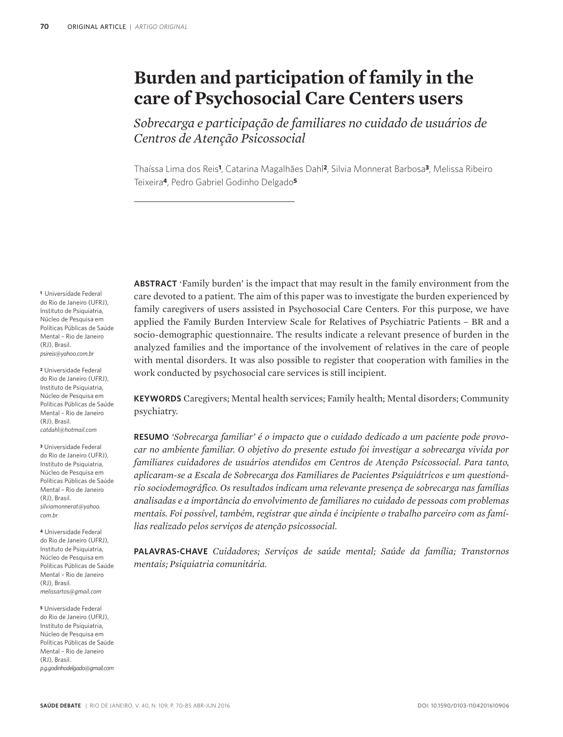# **Burden and participation of family in the care of Psychosocial Care Centers users**

*Sobrecarga e participação de familiares no cuidado de usuários de Centros de Atenção Psicossocial*

Thaíssa Lima dos Reis**1**, Catarina Magalhães Dahl**2**, Silvia Monnerat Barbosa**3**, Melissa Ribeiro Teixeira**4**, Pedro Gabriel Godinho Delgado**<sup>5</sup>**

**<sup>1</sup>**Universidade Federal do Rio de Janeiro (UFRJ), Instituto de Psiquiatria. Núcleo de Pesquisa em Políticas Públicas de Saúde Mental – Rio de Janeiro (RJ), Brasil. *psireis@yahoo.com.br*

**<sup>2</sup>**Universidade Federal do Rio de Janeiro (UFRJ), Instituto de Psiquiatria, Núcleo de Pesquisa em Políticas Públicas de Saúde Mental – Rio de Janeiro (RJ), Brasil. *catdahl@hotmail.com*

**<sup>3</sup>**Universidade Federal do Rio de Janeiro (UFRJ), Instituto de Psiquiatria, Núcleo de Pesquisa em Políticas Públicas de Saúde Mental – Rio de Janeiro (RJ), Brasil. *silviamonnerat@yahoo. com.br*

**<sup>4</sup>**Universidade Federal do Rio de Janeiro (UFRJ), Instituto de Psiquiatria, Núcleo de Pesquisa em Políticas Públicas de Saúde Mental – Rio de Janeiro (RJ), Brasil. *melissartos@gmail.com*

**<sup>5</sup>**Universidade Federal do Rio de Janeiro (UFRJ), Instituto de Psiquiatria, Núcleo de Pesquisa em Políticas Públicas de Saúde Mental – Rio de Janeiro (RJ), Brasil. *p.g.godinhodelgado@gmail.com* **ABSTRACT** 'Family burden' is the impact that may result in the family environment from the care devoted to a patient. The aim of this paper was to investigate the burden experienced by family caregivers of users assisted in Psychosocial Care Centers. For this purpose, we have applied the Family Burden Interview Scale for Relatives of Psychiatric Patients – BR and a socio-demographic questionnaire. The results indicate a relevant presence of burden in the analyzed families and the importance of the involvement of relatives in the care of people with mental disorders. It was also possible to register that cooperation with families in the work conducted by psychosocial care services is still incipient.

**KEYWORDS** Caregivers; Mental health services; Family health; Mental disorders; Community psychiatry.

**RESUMO** *'Sobrecarga familiar' é o impacto que o cuidado dedicado a um paciente pode provocar no ambiente familiar. O objetivo do presente estudo foi investigar a sobrecarga vivida por familiares cuidadores de usuários atendidos em Centros de Atenção Psicossocial. Para tanto, aplicaram-se a Escala de Sobrecarga dos Familiares de Pacientes Psiquiátricos e um questionário sociodemográfico. Os resultados indicam uma relevante presença de sobrecarga nas famílias analisadas e a importância do envolvimento de familiares no cuidado de pessoas com problemas mentais. Foi possível, também, registrar que ainda é incipiente o trabalho parceiro com as famílias realizado pelos serviços de atenção psicossocial.*

**PALAVRAS-CHAVE** *Cuidadores; Serviços de saúde mental; Saúde da família; Transtornos mentais; Psiquiatria comunitária.*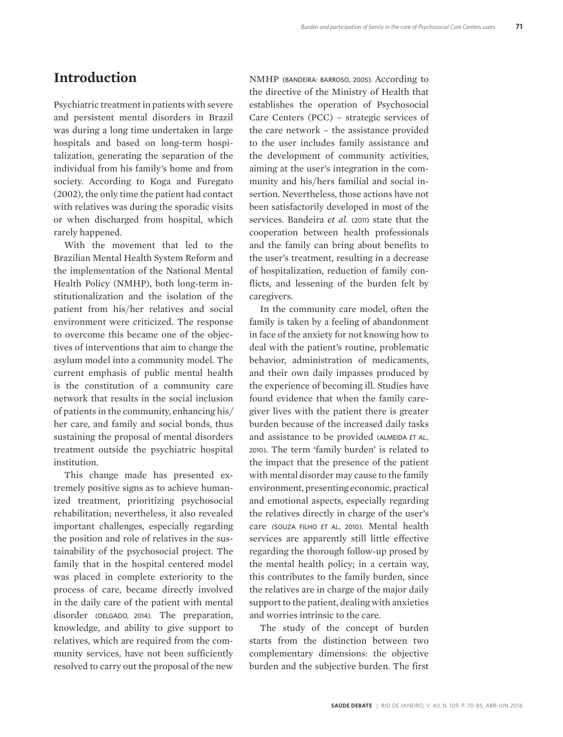### **Introduction**

Psychiatric treatment in patients with severe and persistent mental disorders in Brazil was during a long time undertaken in large hospitals and based on long-term hospitalization, generating the separation of the individual from his family's home and from society. According to Koga and Furegato (2002), the only time the patient had contact with relatives was during the sporadic visits or when discharged from hospital, which rarely happened.

With the movement that led to the Brazilian Mental Health System Reform and the implementation of the National Mental Health Policy (NMHP), both long-term institutionalization and the isolation of the patient from his/her relatives and social environment were criticized. The response to overcome this became one of the objectives of interventions that aim to change the asylum model into a community model. The current emphasis of public mental health is the constitution of a community care network that results in the social inclusion of patients in the community, enhancing his/ her care, and family and social bonds, thus sustaining the proposal of mental disorders treatment outside the psychiatric hospital institution.

This change made has presented extremely positive signs as to achieve humanized treatment, prioritizing psychosocial rehabilitation; nevertheless, it also revealed important challenges, especially regarding the position and role of relatives in the sustainability of the psychosocial project. The family that in the hospital centered model was placed in complete exteriority to the process of care, became directly involved in the daily care of the patient with mental disorder (DELGADO, 2014). The preparation, knowledge, and ability to give support to relatives, which are required from the community services, have not been sufficiently resolved to carry out the proposal of the new

NMHP (BANDEIRA: BARROSO, 2005). According to the directive of the Ministry of Health that establishes the operation of Psychosocial Care Centers (PCC) – strategic services of the care network – the assistance provided to the user includes family assistance and the development of community activities, aiming at the user's integration in the community and his/hers familial and social insertion. Nevertheless, those actions have not been satisfactorily developed in most of the services. Bandeira *et al.* (2011) state that the cooperation between health professionals and the family can bring about benefits to the user's treatment, resulting in a decrease of hospitalization, reduction of family conflicts, and lessening of the burden felt by caregivers.

In the community care model, often the family is taken by a feeling of abandonment in face of the anxiety for not knowing how to deal with the patient's routine, problematic behavior, administration of medicaments, and their own daily impasses produced by the experience of becoming ill. Studies have found evidence that when the family caregiver lives with the patient there is greater burden because of the increased daily tasks and assistance to be provided (ALMEIDA *et al.,* 2010). The term 'family burden' is related to the impact that the presence of the patient with mental disorder may cause to the family environment, presenting economic, practical and emotional aspects, especially regarding the relatives directly in charge of the user's care (SOUZA FILHO *et al.,* 2010). Mental health services are apparently still little effective regarding the thorough follow-up prosed by the mental health policy; in a certain way, this contributes to the family burden, since the relatives are in charge of the major daily support to the patient, dealing with anxieties and worries intrinsic to the care.

The study of the concept of burden starts from the distinction between two complementary dimensions: the objective burden and the subjective burden. The first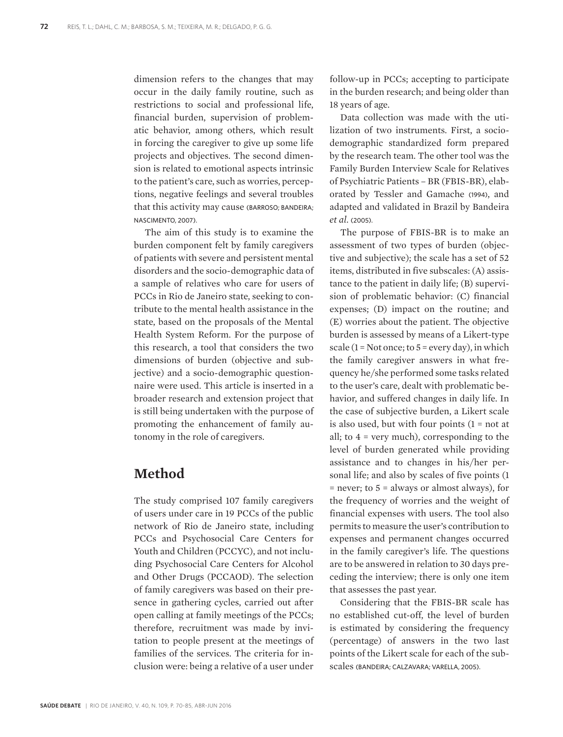dimension refers to the changes that may occur in the daily family routine, such as restrictions to social and professional life, financial burden, supervision of problematic behavior, among others, which result in forcing the caregiver to give up some life projects and objectives. The second dimension is related to emotional aspects intrinsic to the patient's care, such as worries, perceptions, negative feelings and several troubles that this activity may cause (BARROSO; BANDEIRA; NASCIMENTO, 2007).

The aim of this study is to examine the burden component felt by family caregivers of patients with severe and persistent mental disorders and the socio-demographic data of a sample of relatives who care for users of PCCs in Rio de Janeiro state, seeking to contribute to the mental health assistance in the state, based on the proposals of the Mental Health System Reform. For the purpose of this research, a tool that considers the two dimensions of burden (objective and subjective) and a socio-demographic questionnaire were used. This article is inserted in a broader research and extension project that is still being undertaken with the purpose of promoting the enhancement of family autonomy in the role of caregivers.

### **Method**

The study comprised 107 family caregivers of users under care in 19 PCCs of the public network of Rio de Janeiro state, including PCCs and Psychosocial Care Centers for Youth and Children (PCCYC), and not including Psychosocial Care Centers for Alcohol and Other Drugs (PCCAOD). The selection of family caregivers was based on their presence in gathering cycles, carried out after open calling at family meetings of the PCCs; therefore, recruitment was made by invitation to people present at the meetings of families of the services. The criteria for inclusion were: being a relative of a user under

follow-up in PCCs; accepting to participate in the burden research; and being older than 18 years of age.

Data collection was made with the utilization of two instruments. First, a sociodemographic standardized form prepared by the research team. The other tool was the Family Burden Interview Scale for Relatives of Psychiatric Patients – BR (FBIS-BR), elaborated by Tessler and Gamache (1994), and adapted and validated in Brazil by Bandeira *et al.* (2005).

The purpose of FBIS-BR is to make an assessment of two types of burden (objective and subjective); the scale has a set of 52 items, distributed in five subscales: (A) assistance to the patient in daily life; (B) supervision of problematic behavior: (C) financial expenses; (D) impact on the routine; and (E) worries about the patient. The objective burden is assessed by means of a Likert-type scale  $(1 = Not once; to 5 = every day)$ , in which the family caregiver answers in what frequency he/she performed some tasks related to the user's care, dealt with problematic behavior, and suffered changes in daily life. In the case of subjective burden, a Likert scale is also used, but with four points  $(1 = not at$ all; to 4 = very much), corresponding to the level of burden generated while providing assistance and to changes in his/her personal life; and also by scales of five points (1 = never; to 5 = always or almost always), for the frequency of worries and the weight of financial expenses with users. The tool also permits to measure the user's contribution to expenses and permanent changes occurred in the family caregiver's life. The questions are to be answered in relation to 30 days preceding the interview; there is only one item that assesses the past year.

Considering that the FBIS-BR scale has no established cut-off, the level of burden is estimated by considering the frequency (percentage) of answers in the two last points of the Likert scale for each of the subscales (BANDEIRA; CALZAVARA; VARELLA, 2005).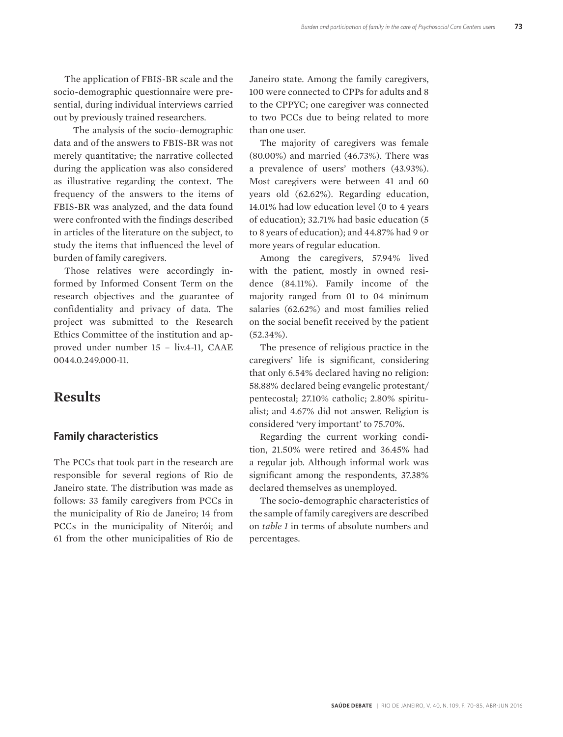The application of FBIS-BR scale and the socio-demographic questionnaire were presential, during individual interviews carried out by previously trained researchers.

 The analysis of the socio-demographic data and of the answers to FBIS-BR was not merely quantitative; the narrative collected during the application was also considered as illustrative regarding the context. The frequency of the answers to the items of FBIS-BR was analyzed, and the data found were confronted with the findings described in articles of the literature on the subject, to study the items that influenced the level of burden of family caregivers.

Those relatives were accordingly informed by Informed Consent Term on the research objectives and the guarantee of confidentiality and privacy of data. The project was submitted to the Research Ethics Committee of the institution and approved under number 15 – liv.4-11, CAAE 0044.0.249.000-11.

### **Results**

#### **Family characteristics**

The PCCs that took part in the research are responsible for several regions of Rio de Janeiro state. The distribution was made as follows: 33 family caregivers from PCCs in the municipality of Rio de Janeiro; 14 from PCCs in the municipality of Niterói; and 61 from the other municipalities of Rio de

Janeiro state. Among the family caregivers, 100 were connected to CPPs for adults and 8 to the CPPYC; one caregiver was connected to two PCCs due to being related to more than one user.

The majority of caregivers was female (80.00%) and married (46.73%). There was a prevalence of users' mothers (43.93%). Most caregivers were between 41 and 60 years old (62.62%). Regarding education, 14.01% had low education level (0 to 4 years of education); 32.71% had basic education (5 to 8 years of education); and 44.87% had 9 or more years of regular education.

Among the caregivers, 57.94% lived with the patient, mostly in owned residence (84.11%). Family income of the majority ranged from 01 to 04 minimum salaries (62.62%) and most families relied on the social benefit received by the patient (52.34%).

The presence of religious practice in the caregivers' life is significant, considering that only 6.54% declared having no religion: 58.88% declared being evangelic protestant/ pentecostal; 27.10% catholic; 2.80% spiritualist; and 4.67% did not answer. Religion is considered 'very important' to 75.70%.

Regarding the current working condition, 21.50% were retired and 36.45% had a regular job. Although informal work was significant among the respondents, 37.38% declared themselves as unemployed.

The socio-demographic characteristics of the sample of family caregivers are described on *table 1* in terms of absolute numbers and percentages.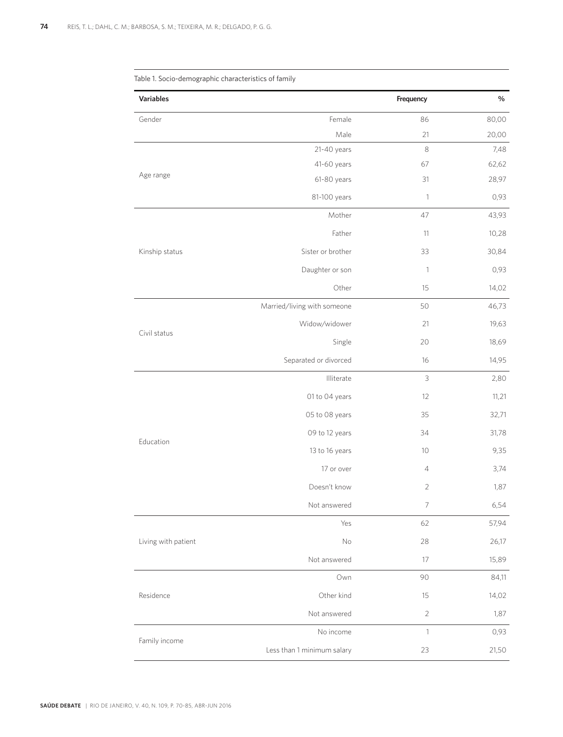| <b>Variables</b>    | Frequency                   |                           | $\%$  |
|---------------------|-----------------------------|---------------------------|-------|
| Gender              | Female                      | 86                        | 80,00 |
|                     | Male                        | 21                        | 20,00 |
|                     | 21-40 years                 | 8                         | 7,48  |
|                     | 41-60 years                 | 67                        | 62,62 |
| Age range           | 61-80 years                 | 31                        | 28,97 |
|                     | 81-100 years                | $\ensuremath{\mathsf{1}}$ | 0,93  |
|                     | Mother                      | 47                        | 43,93 |
|                     | Father                      | 11                        | 10,28 |
| Kinship status      | Sister or brother           | 33                        | 30,84 |
|                     | Daughter or son             | $\mathbf 1$               | 0,93  |
| Civil status        | Other                       | 15                        | 14,02 |
|                     | Married/living with someone | 50                        | 46,73 |
|                     | Widow/widower               | 21                        | 19,63 |
|                     | Single                      | 20                        | 18,69 |
|                     | Separated or divorced       | 16                        | 14,95 |
|                     | Illiterate                  | $\overline{3}$            | 2,80  |
|                     | 01 to 04 years              | 12                        | 11,21 |
|                     | 05 to 08 years              | 35                        | 32,71 |
|                     | 09 to 12 years              | 34                        | 31,78 |
| Education           | 13 to 16 years              | 10                        | 9,35  |
|                     | 17 or over                  | 4                         | 3,74  |
|                     | Doesn't know                | $\overline{2}$            | 1,87  |
|                     | Not answered                | 7                         | 6,54  |
|                     | Yes                         | 62                        | 57,94 |
| Living with patient | $\mathsf{No}$               | 28                        | 26,17 |
|                     | Not answered                | 17                        | 15,89 |
| Residence           | Own                         | 90                        | 84,11 |
|                     | Other kind                  | 15                        | 14,02 |
|                     | Not answered                | $\sqrt{2}$                | 1,87  |
|                     | No income                   | $\mathbf{1}$              | 0,93  |
| Family income       | Less than 1 minimum salary  | 23                        | 21,50 |
|                     |                             |                           |       |

Table 1. Socio-demographic characteristics of family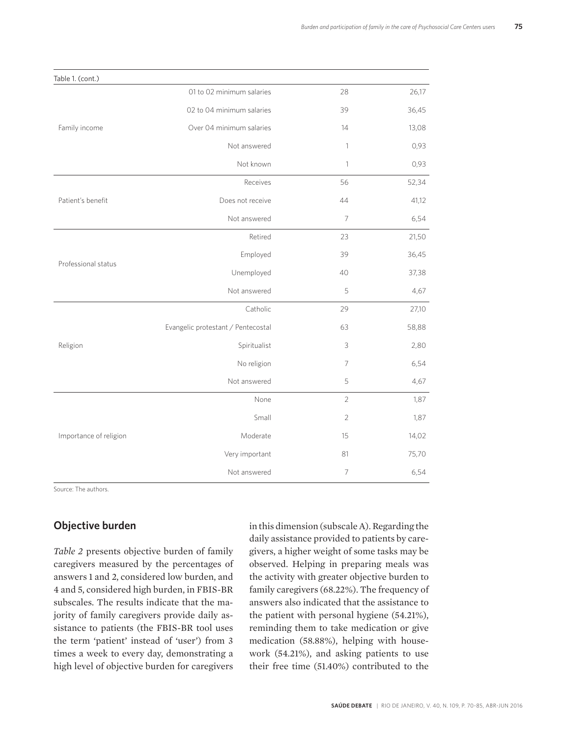| Table 1. (cont.)                                                               |                                                                                                                                                                                                                                                                                                                                                                                                                                                  |      |       |
|--------------------------------------------------------------------------------|--------------------------------------------------------------------------------------------------------------------------------------------------------------------------------------------------------------------------------------------------------------------------------------------------------------------------------------------------------------------------------------------------------------------------------------------------|------|-------|
|                                                                                | 01 to 02 minimum salaries                                                                                                                                                                                                                                                                                                                                                                                                                        | 28   | 26,17 |
| Family income                                                                  | 02 to 04 minimum salaries                                                                                                                                                                                                                                                                                                                                                                                                                        | 39   | 36,45 |
|                                                                                | Over 04 minimum salaries                                                                                                                                                                                                                                                                                                                                                                                                                         | 14   | 13,08 |
|                                                                                | Not answered                                                                                                                                                                                                                                                                                                                                                                                                                                     | 1    | 0,93  |
|                                                                                | Not known<br>$\mathbf{1}$<br>56<br>Receives<br>Does not receive<br>44<br>$\overline{7}$<br>Not answered<br>Retired<br>23<br>Employed<br>39<br>Unemployed<br>40<br>Not answered<br>5<br>Catholic<br>29<br>Evangelic protestant / Pentecostal<br>63<br>Spiritualist<br>3<br>No religion<br>7<br>Not answered<br>5<br>None<br>$\overline{2}$<br>Small<br>$\overline{2}$<br>Moderate<br>15<br>Very important<br>81<br>$\overline{7}$<br>Not answered | 0,93 |       |
|                                                                                |                                                                                                                                                                                                                                                                                                                                                                                                                                                  |      | 52,34 |
| Patient's benefit<br>Professional status<br>Religion<br>Importance of religion |                                                                                                                                                                                                                                                                                                                                                                                                                                                  |      | 41,12 |
|                                                                                |                                                                                                                                                                                                                                                                                                                                                                                                                                                  | 6,54 |       |
|                                                                                |                                                                                                                                                                                                                                                                                                                                                                                                                                                  |      | 21,50 |
|                                                                                |                                                                                                                                                                                                                                                                                                                                                                                                                                                  |      | 36,45 |
|                                                                                |                                                                                                                                                                                                                                                                                                                                                                                                                                                  |      | 37,38 |
|                                                                                |                                                                                                                                                                                                                                                                                                                                                                                                                                                  | 4,67 |       |
|                                                                                |                                                                                                                                                                                                                                                                                                                                                                                                                                                  |      | 27,10 |
|                                                                                |                                                                                                                                                                                                                                                                                                                                                                                                                                                  |      | 58,88 |
|                                                                                |                                                                                                                                                                                                                                                                                                                                                                                                                                                  |      | 2,80  |
|                                                                                |                                                                                                                                                                                                                                                                                                                                                                                                                                                  |      | 6,54  |
|                                                                                |                                                                                                                                                                                                                                                                                                                                                                                                                                                  | 4,67 |       |
|                                                                                |                                                                                                                                                                                                                                                                                                                                                                                                                                                  |      | 1,87  |
|                                                                                |                                                                                                                                                                                                                                                                                                                                                                                                                                                  |      | 1,87  |
|                                                                                |                                                                                                                                                                                                                                                                                                                                                                                                                                                  |      | 14,02 |
|                                                                                |                                                                                                                                                                                                                                                                                                                                                                                                                                                  |      | 75,70 |
|                                                                                |                                                                                                                                                                                                                                                                                                                                                                                                                                                  |      | 6,54  |

Source: The authors.

### **Objective burden**

*Table 2* presents objective burden of family caregivers measured by the percentages of answers 1 and 2, considered low burden, and 4 and 5, considered high burden, in FBIS-BR subscales. The results indicate that the majority of family caregivers provide daily assistance to patients (the FBIS-BR tool uses the term 'patient' instead of 'user') from 3 times a week to every day, demonstrating a high level of objective burden for caregivers

in this dimension (subscale A). Regarding the daily assistance provided to patients by caregivers, a higher weight of some tasks may be observed. Helping in preparing meals was the activity with greater objective burden to family caregivers (68.22%). The frequency of answers also indicated that the assistance to the patient with personal hygiene (54.21%), reminding them to take medication or give medication (58.88%), helping with housework (54.21%), and asking patients to use their free time (51.40%) contributed to the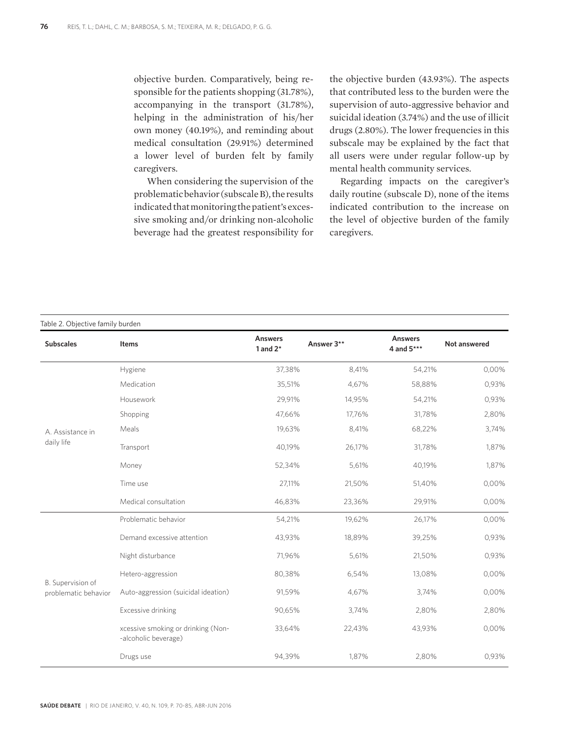objective burden. Comparatively, being responsible for the patients shopping (31.78%), accompanying in the transport (31.78%), helping in the administration of his/her own money (40.19%), and reminding about medical consultation (29.91%) determined a lower level of burden felt by family caregivers.

 When considering the supervision of the problematic behavior (subscale B), the results indicated that monitoring the patient's excessive smoking and/or drinking non-alcoholic beverage had the greatest responsibility for

the objective burden (43.93%). The aspects that contributed less to the burden were the supervision of auto-aggressive behavior and suicidal ideation (3.74%) and the use of illicit drugs (2.80%). The lower frequencies in this subscale may be explained by the fact that all users were under regular follow-up by mental health community services.

Regarding impacts on the caregiver's daily routine (subscale D), none of the items indicated contribution to the increase on the level of objective burden of the family caregivers.

#### Table 2. Objective family burden

| <b>Subscales</b>                          | <b>Items</b>                                               | <b>Answers</b><br>1 and $2*$ | Answer 3** | <b>Answers</b><br>4 and 5*** | <b>Not answered</b> |
|-------------------------------------------|------------------------------------------------------------|------------------------------|------------|------------------------------|---------------------|
|                                           | Hygiene                                                    | 37,38%                       | 8,41%      | 54,21%                       | 0,00%               |
| A. Assistance in<br>daily life            | Medication                                                 | 35,51%                       | 4,67%      | 58,88%                       | 0,93%               |
|                                           | Housework                                                  | 29,91%                       | 14,95%     | 54,21%                       | 0,93%               |
|                                           | Shopping                                                   | 47,66%                       | 17.76%     | 31,78%                       | 2,80%               |
|                                           | Meals                                                      | 19,63%                       | 8,41%      | 68,22%                       | 3,74%               |
|                                           | Transport                                                  | 40,19%                       | 26,17%     | 31,78%                       | 1,87%               |
|                                           | Money                                                      | 52,34%                       | 5,61%      | 40,19%                       | 1,87%               |
|                                           | Time use                                                   | 27,11%                       | 21,50%     | 51,40%                       | 0,00%               |
|                                           | Medical consultation                                       | 46,83%                       | 23,36%     | 29,91%                       | 0,00%               |
|                                           | Problematic behavior                                       | 54,21%                       | 19,62%     | 26,17%                       | 0,00%               |
|                                           | Demand excessive attention                                 | 43,93%                       | 18,89%     | 39,25%                       | 0,93%               |
| B. Supervision of<br>problematic behavior | Night disturbance                                          | 71,96%                       | 5,61%      | 21,50%                       | 0,93%               |
|                                           | Hetero-aggression                                          | 80,38%                       | 6,54%      | 13,08%                       | 0,00%               |
|                                           | Auto-aggression (suicidal ideation)                        | 91,59%                       | 4,67%      | 3,74%                        | 0,00%               |
|                                           | Excessive drinking                                         | 90,65%                       | 3,74%      | 2,80%                        | 2,80%               |
|                                           | xcessive smoking or drinking (Non-<br>-alcoholic beverage) | 33,64%                       | 22,43%     | 43,93%                       | 0,00%               |
|                                           | Drugs use                                                  | 94,39%                       | 1,87%      | 2,80%                        | 0,93%               |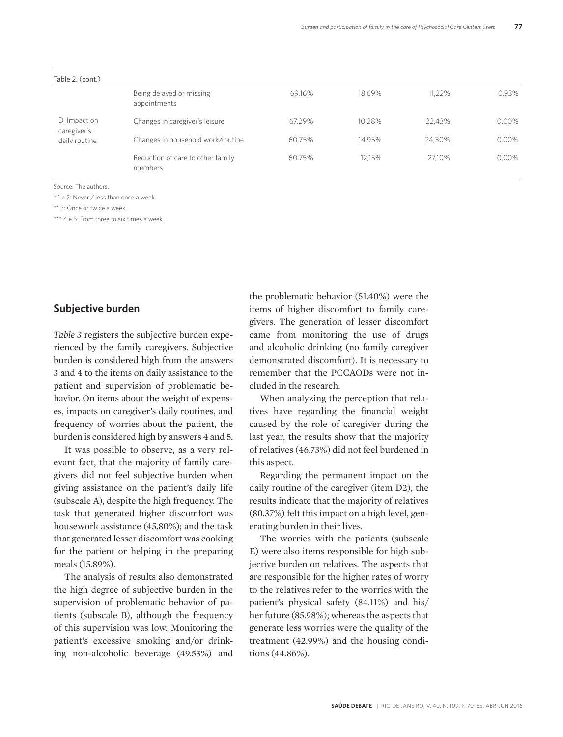| Table 2. (cont.)                             |                                              |        |        |        |       |
|----------------------------------------------|----------------------------------------------|--------|--------|--------|-------|
|                                              | Being delayed or missing<br>appointments     | 69,16% | 18.69% | 11.22% | 0.93% |
| D. Impact on<br>caregiver's<br>daily routine | Changes in caregiver's leisure               | 67.29% | 10.28% | 22.43% | 0,00% |
|                                              | Changes in household work/routine            | 60.75% | 14.95% | 24.30% | 0,00% |
|                                              | Reduction of care to other family<br>members | 60.75% | 12.15% | 27.10% | 0,00% |

Source: The authors.

\* 1 e 2: Never / less than once a week.

\*\* 3: Once or twice a week.

\*\*\* 4 e 5: From three to six times a week.

#### **Subjective burden**

*Table 3* registers the subjective burden experienced by the family caregivers. Subjective burden is considered high from the answers 3 and 4 to the items on daily assistance to the patient and supervision of problematic behavior. On items about the weight of expenses, impacts on caregiver's daily routines, and frequency of worries about the patient, the burden is considered high by answers 4 and 5.

It was possible to observe, as a very relevant fact, that the majority of family caregivers did not feel subjective burden when giving assistance on the patient's daily life (subscale A), despite the high frequency. The task that generated higher discomfort was housework assistance (45.80%); and the task that generated lesser discomfort was cooking for the patient or helping in the preparing meals (15.89%).

The analysis of results also demonstrated the high degree of subjective burden in the supervision of problematic behavior of patients (subscale B), although the frequency of this supervision was low. Monitoring the patient's excessive smoking and/or drinking non-alcoholic beverage (49.53%) and the problematic behavior (51.40%) were the items of higher discomfort to family caregivers. The generation of lesser discomfort came from monitoring the use of drugs and alcoholic drinking (no family caregiver demonstrated discomfort). It is necessary to remember that the PCCAODs were not included in the research.

When analyzing the perception that relatives have regarding the financial weight caused by the role of caregiver during the last year, the results show that the majority of relatives (46.73%) did not feel burdened in this aspect.

Regarding the permanent impact on the daily routine of the caregiver (item D2), the results indicate that the majority of relatives (80.37%) felt this impact on a high level, generating burden in their lives.

The worries with the patients (subscale E) were also items responsible for high subjective burden on relatives. The aspects that are responsible for the higher rates of worry to the relatives refer to the worries with the patient's physical safety (84.11%) and his/ her future (85.98%); whereas the aspects that generate less worries were the quality of the treatment (42.99%) and the housing conditions (44.86%).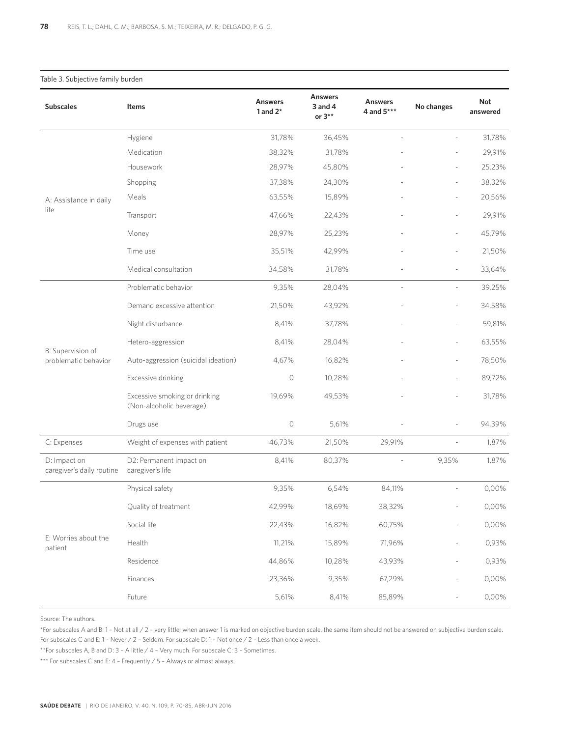#### Table 3. Subjective family burden

| <b>Subscales</b>                          | Items                                                     | <b>Answers</b><br>1 and $2^*$ | <b>Answers</b><br>3 and 4<br>or $3**$ | <b>Answers</b><br>4 and 5*** | No changes    | <b>Not</b><br>answered |
|-------------------------------------------|-----------------------------------------------------------|-------------------------------|---------------------------------------|------------------------------|---------------|------------------------|
|                                           | Hygiene                                                   | 31,78%                        | 36,45%                                |                              |               | 31,78%                 |
|                                           | Medication                                                | 38,32%                        | 31,78%                                |                              |               | 29,91%                 |
| A: Assistance in daily<br>life            | Housework                                                 | 28,97%                        | 45,80%                                |                              |               | 25,23%                 |
|                                           | Shopping                                                  | 37,38%                        | 24,30%                                |                              |               | 38,32%                 |
|                                           | Meals                                                     | 63,55%                        | 15,89%                                |                              |               | 20,56%                 |
|                                           | Transport                                                 | 47,66%                        | 22,43%                                |                              |               | 29,91%                 |
|                                           | Money                                                     | 28,97%                        | 25,23%                                |                              |               | 45,79%                 |
|                                           | Time use                                                  | 35,51%                        | 42,99%                                |                              |               | 21,50%                 |
|                                           | Medical consultation                                      | 34,58%                        | 31,78%                                |                              |               | 33,64%                 |
|                                           | Problematic behavior                                      | 9,35%                         | 28,04%                                |                              |               | 39,25%                 |
| B: Supervision of<br>problematic behavior | Demand excessive attention                                | 21,50%                        | 43,92%                                |                              |               | 34,58%                 |
|                                           | Night disturbance                                         | 8,41%                         | 37,78%                                |                              |               | 59,81%                 |
|                                           | Hetero-aggression                                         | 8,41%                         | 28,04%                                |                              |               | 63,55%                 |
|                                           | Auto-aggression (suicidal ideation)                       | 4,67%                         | 16,82%                                |                              |               | 78,50%                 |
|                                           | Excessive drinking                                        | 0                             | 10,28%                                |                              |               | 89,72%                 |
|                                           | Excessive smoking or drinking<br>(Non-alcoholic beverage) | 19,69%                        | 49,53%                                |                              |               | 31,78%                 |
|                                           | Drugs use                                                 | $\circlearrowright$           | 5,61%                                 |                              |               | 94,39%                 |
| C: Expenses                               | Weight of expenses with patient                           | 46,73%                        | 21,50%                                | 29,91%                       |               | 1,87%                  |
| D: Impact on<br>caregiver's daily routine | D2: Permanent impact on<br>caregiver's life               | 8,41%                         | 80,37%                                |                              | 9,35%         | 1,87%                  |
|                                           | Physical safety                                           | 9,35%                         | 6,54%                                 | 84,11%                       |               | 0,00%                  |
| E: Worries about the<br>patient           | Quality of treatment                                      | 42,99%                        | 18,69%                                | 38,32%                       |               | 0,00%                  |
|                                           | Social life                                               | 22,43%                        | 16,82%                                | 60,75%                       |               | 0,00%                  |
|                                           | Health                                                    | 11,21%                        | 15,89%                                | 71,96%                       |               | 0,93%                  |
|                                           | Residence                                                 | 44,86%                        | 10,28%                                | 43,93%                       |               | 0,93%                  |
|                                           | Finances                                                  | 23,36%                        | 9,35%                                 | 67,29%                       | $\frac{1}{2}$ | 0,00%                  |
|                                           | Future                                                    | 5,61%                         | 8,41%                                 | 85,89%                       |               | 0,00%                  |

Source: The authors.

\*For subscales A and B: 1 – Not at all / 2 – very little; when answer 1 is marked on objective burden scale, the same item should not be answered on subjective burden scale. For subscales C and E: 1 – Never / 2 – Seldom. For subscale D: 1 – Not once / 2 – Less than once a week.

\*\*For subscales A, B and D: 3 – A little / 4 – Very much. For subscale C: 3 – Sometimes.

\*\*\* For subscales C and E: 4 - Frequently / 5 - Always or almost always.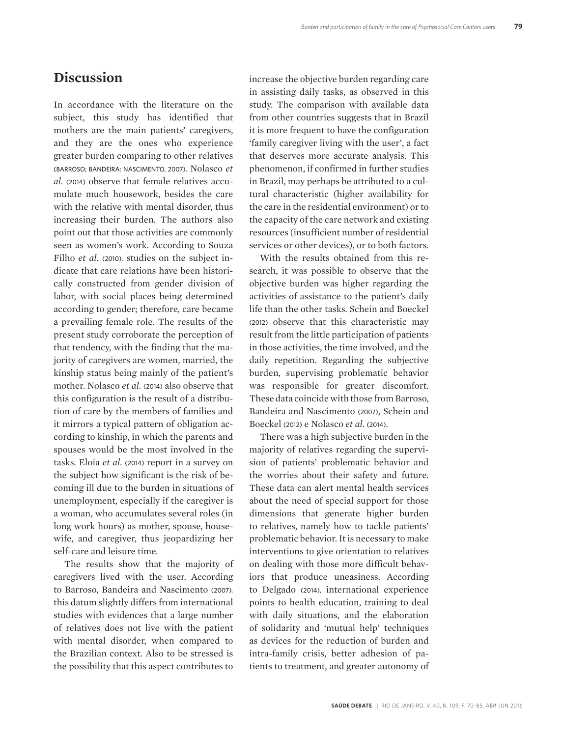### **Discussion**

In accordance with the literature on the subject, this study has identified that mothers are the main patients' caregivers, and they are the ones who experience greater burden comparing to other relatives (BARROSO; BANDEIRA; NASCIMENTO, 2007). Nolasco *et al.* (2014) observe that female relatives accumulate much housework, besides the care with the relative with mental disorder, thus increasing their burden. The authors also point out that those activities are commonly seen as women's work. According to Souza Filho *et al.* (2010), studies on the subject indicate that care relations have been historically constructed from gender division of labor, with social places being determined according to gender; therefore, care became a prevailing female role. The results of the present study corroborate the perception of that tendency, with the finding that the majority of caregivers are women, married, the kinship status being mainly of the patient's mother. Nolasco *et al.* (2014) also observe that this configuration is the result of a distribution of care by the members of families and it mirrors a typical pattern of obligation according to kinship, in which the parents and spouses would be the most involved in the tasks. Eloia *et al.* (2014) report in a survey on the subject how significant is the risk of becoming ill due to the burden in situations of unemployment, especially if the caregiver is a woman, who accumulates several roles (in long work hours) as mother, spouse, housewife, and caregiver, thus jeopardizing her self-care and leisure time.

The results show that the majority of caregivers lived with the user. According to Barroso, Bandeira and Nascimento (2007), this datum slightly differs from international studies with evidences that a large number of relatives does not live with the patient with mental disorder, when compared to the Brazilian context. Also to be stressed is the possibility that this aspect contributes to

increase the objective burden regarding care in assisting daily tasks, as observed in this study. The comparison with available data from other countries suggests that in Brazil it is more frequent to have the configuration 'family caregiver living with the user', a fact that deserves more accurate analysis. This phenomenon, if confirmed in further studies in Brazil, may perhaps be attributed to a cultural characteristic (higher availability for the care in the residential environment) or to the capacity of the care network and existing resources (insufficient number of residential services or other devices), or to both factors.

With the results obtained from this research, it was possible to observe that the objective burden was higher regarding the activities of assistance to the patient's daily life than the other tasks. Schein and Boeckel (2012) observe that this characteristic may result from the little participation of patients in those activities, the time involved, and the daily repetition. Regarding the subjective burden, supervising problematic behavior was responsible for greater discomfort. These data coincide with those from Barroso, Bandeira and Nascimento (2007), Schein and Boeckel (2012) e Nolasco *et al*. (2014).

There was a high subjective burden in the majority of relatives regarding the supervision of patients' problematic behavior and the worries about their safety and future. These data can alert mental health services about the need of special support for those dimensions that generate higher burden to relatives, namely how to tackle patients' problematic behavior. It is necessary to make interventions to give orientation to relatives on dealing with those more difficult behaviors that produce uneasiness. According to Delgado (2014), international experience points to health education, training to deal with daily situations, and the elaboration of solidarity and 'mutual help' techniques as devices for the reduction of burden and intra-family crisis, better adhesion of patients to treatment, and greater autonomy of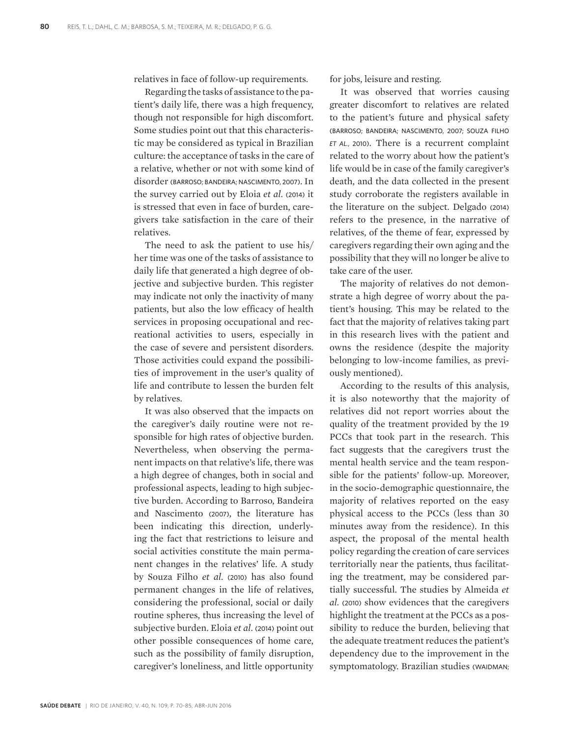relatives in face of follow-up requirements.

Regarding the tasks of assistance to the patient's daily life, there was a high frequency, though not responsible for high discomfort. Some studies point out that this characteristic may be considered as typical in Brazilian culture: the acceptance of tasks in the care of a relative, whether or not with some kind of disorder (BARROSO; BANDEIRA; NASCIMENTO, 2007). In the survey carried out by Eloia *et al.* (2014) it is stressed that even in face of burden, caregivers take satisfaction in the care of their relatives.

The need to ask the patient to use his/ her time was one of the tasks of assistance to daily life that generated a high degree of objective and subjective burden. This register may indicate not only the inactivity of many patients, but also the low efficacy of health services in proposing occupational and recreational activities to users, especially in the case of severe and persistent disorders. Those activities could expand the possibilities of improvement in the user's quality of life and contribute to lessen the burden felt by relatives.

It was also observed that the impacts on the caregiver's daily routine were not responsible for high rates of objective burden. Nevertheless, when observing the permanent impacts on that relative's life, there was a high degree of changes, both in social and professional aspects, leading to high subjective burden. According to Barroso, Bandeira and Nascimento (2007), the literature has been indicating this direction, underlying the fact that restrictions to leisure and social activities constitute the main permanent changes in the relatives' life. A study by Souza Filho *et al.* (2010) has also found permanent changes in the life of relatives, considering the professional, social or daily routine spheres, thus increasing the level of subjective burden. Eloia *et al.* (2014) point out other possible consequences of home care, such as the possibility of family disruption, caregiver's loneliness, and little opportunity

for jobs, leisure and resting.

It was observed that worries causing greater discomfort to relatives are related to the patient's future and physical safety (BARROSO; BANDEIRA; NASCIMENTO, 2007; SOUZA FILHO *et al.*, 2010). There is a recurrent complaint related to the worry about how the patient's life would be in case of the family caregiver's death, and the data collected in the present study corroborate the registers available in the literature on the subject. Delgado (2014) refers to the presence, in the narrative of relatives, of the theme of fear, expressed by caregivers regarding their own aging and the possibility that they will no longer be alive to take care of the user.

The majority of relatives do not demonstrate a high degree of worry about the patient's housing. This may be related to the fact that the majority of relatives taking part in this research lives with the patient and owns the residence (despite the majority belonging to low-income families, as previously mentioned).

According to the results of this analysis, it is also noteworthy that the majority of relatives did not report worries about the quality of the treatment provided by the 19 PCCs that took part in the research. This fact suggests that the caregivers trust the mental health service and the team responsible for the patients' follow-up. Moreover, in the socio-demographic questionnaire, the majority of relatives reported on the easy physical access to the PCCs (less than 30 minutes away from the residence). In this aspect, the proposal of the mental health policy regarding the creation of care services territorially near the patients, thus facilitating the treatment, may be considered partially successful. The studies by Almeida *et al.* (2010) show evidences that the caregivers highlight the treatment at the PCCs as a possibility to reduce the burden, believing that the adequate treatment reduces the patient's dependency due to the improvement in the symptomatology. Brazilian studies (WAIDMAN;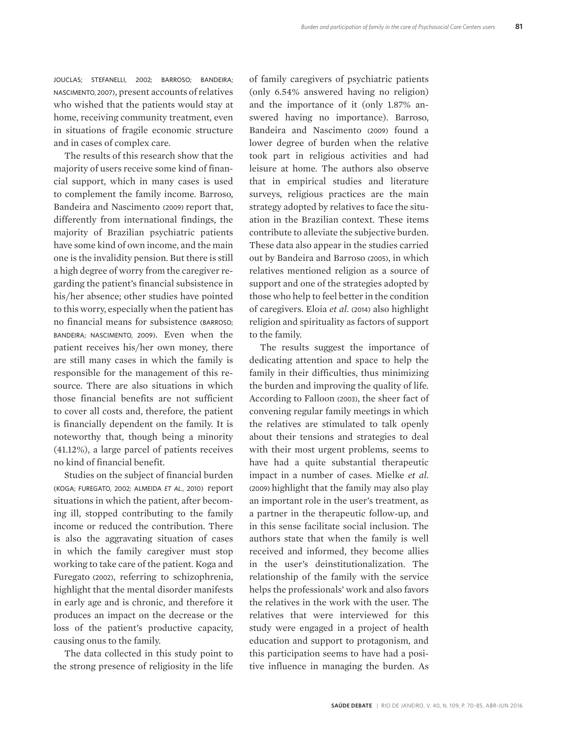JOUCLAS; STEFANELLI, 2002; BARROSO; BANDEIRA; NASCIMENTO, 2007), present accounts of relatives who wished that the patients would stay at home, receiving community treatment, even in situations of fragile economic structure and in cases of complex care.

The results of this research show that the majority of users receive some kind of financial support, which in many cases is used to complement the family income. Barroso, Bandeira and Nascimento (2009) report that, differently from international findings, the majority of Brazilian psychiatric patients have some kind of own income, and the main one is the invalidity pension. But there is still a high degree of worry from the caregiver regarding the patient's financial subsistence in his/her absence; other studies have pointed to this worry, especially when the patient has no financial means for subsistence (BARROSO; BANDEIRA; NASCIMENTO, 2009). Even when the patient receives his/her own money, there are still many cases in which the family is responsible for the management of this resource. There are also situations in which those financial benefits are not sufficient to cover all costs and, therefore, the patient is financially dependent on the family. It is noteworthy that, though being a minority (41.12%), a large parcel of patients receives no kind of financial benefit.

Studies on the subject of financial burden (KOGA; FUREGATO, 2002; ALMEIDA *et al.*, 2010) report situations in which the patient, after becoming ill, stopped contributing to the family income or reduced the contribution. There is also the aggravating situation of cases in which the family caregiver must stop working to take care of the patient. Koga and Furegato (2002), referring to schizophrenia, highlight that the mental disorder manifests in early age and is chronic, and therefore it produces an impact on the decrease or the loss of the patient's productive capacity, causing onus to the family.

The data collected in this study point to the strong presence of religiosity in the life of family caregivers of psychiatric patients (only 6.54% answered having no religion) and the importance of it (only 1.87% answered having no importance). Barroso, Bandeira and Nascimento (2009) found a lower degree of burden when the relative took part in religious activities and had leisure at home. The authors also observe that in empirical studies and literature surveys, religious practices are the main strategy adopted by relatives to face the situation in the Brazilian context. These items contribute to alleviate the subjective burden. These data also appear in the studies carried out by Bandeira and Barroso (2005), in which relatives mentioned religion as a source of support and one of the strategies adopted by those who help to feel better in the condition of caregivers. Eloia *et al.* (2014) also highlight religion and spirituality as factors of support to the family.

The results suggest the importance of dedicating attention and space to help the family in their difficulties, thus minimizing the burden and improving the quality of life. According to Falloon (2003), the sheer fact of convening regular family meetings in which the relatives are stimulated to talk openly about their tensions and strategies to deal with their most urgent problems, seems to have had a quite substantial therapeutic impact in a number of cases. Mielke *et al.* (2009) highlight that the family may also play an important role in the user's treatment, as a partner in the therapeutic follow-up, and in this sense facilitate social inclusion. The authors state that when the family is well received and informed, they become allies in the user's deinstitutionalization. The relationship of the family with the service helps the professionals' work and also favors the relatives in the work with the user. The relatives that were interviewed for this study were engaged in a project of health education and support to protagonism, and this participation seems to have had a positive influence in managing the burden. As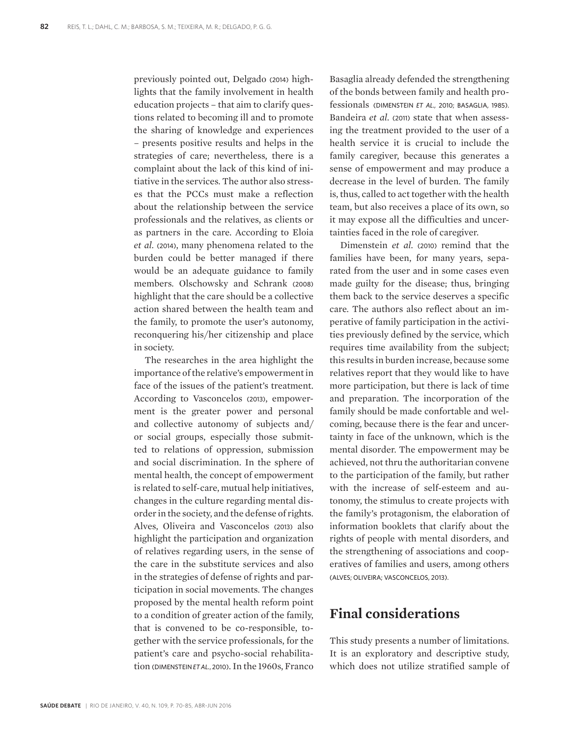previously pointed out, Delgado (2014) highlights that the family involvement in health education projects – that aim to clarify questions related to becoming ill and to promote the sharing of knowledge and experiences – presents positive results and helps in the strategies of care; nevertheless, there is a complaint about the lack of this kind of initiative in the services. The author also stresses that the PCCs must make a reflection about the relationship between the service professionals and the relatives, as clients or as partners in the care. According to Eloia *et al.* (2014), many phenomena related to the burden could be better managed if there would be an adequate guidance to family members. Olschowsky and Schrank (2008) highlight that the care should be a collective action shared between the health team and the family, to promote the user's autonomy, reconquering his/her citizenship and place in society.

The researches in the area highlight the importance of the relative's empowerment in face of the issues of the patient's treatment. According to Vasconcelos (2013), empowerment is the greater power and personal and collective autonomy of subjects and/ or social groups, especially those submitted to relations of oppression, submission and social discrimination. In the sphere of mental health, the concept of empowerment is related to self-care, mutual help initiatives, changes in the culture regarding mental disorder in the society, and the defense of rights. Alves, Oliveira and Vasconcelos (2013) also highlight the participation and organization of relatives regarding users, in the sense of the care in the substitute services and also in the strategies of defense of rights and participation in social movements. The changes proposed by the mental health reform point to a condition of greater action of the family, that is convened to be co-responsible, together with the service professionals, for the patient's care and psycho-social rehabilitation (DIMENSTEIN *et al.*, 2010). In the 1960s, Franco

Basaglia already defended the strengthening of the bonds between family and health professionals (DIMENSTEIN *et al.,* 2010; BASAGLIA, 1985). Bandeira *et al.* (2011) state that when assessing the treatment provided to the user of a health service it is crucial to include the family caregiver, because this generates a sense of empowerment and may produce a decrease in the level of burden. The family is, thus, called to act together with the health team, but also receives a place of its own, so it may expose all the difficulties and uncertainties faced in the role of caregiver.

Dimenstein *et al.* (2010) remind that the families have been, for many years, separated from the user and in some cases even made guilty for the disease; thus, bringing them back to the service deserves a specific care. The authors also reflect about an imperative of family participation in the activities previously defined by the service, which requires time availability from the subject; this results in burden increase, because some relatives report that they would like to have more participation, but there is lack of time and preparation. The incorporation of the family should be made confortable and welcoming, because there is the fear and uncertainty in face of the unknown, which is the mental disorder. The empowerment may be achieved, not thru the authoritarian convene to the participation of the family, but rather with the increase of self-esteem and autonomy, the stimulus to create projects with the family's protagonism, the elaboration of information booklets that clarify about the rights of people with mental disorders, and the strengthening of associations and cooperatives of families and users, among others (ALVES; OLIVEIRA; VASCONCELOS, 2013).

## **Final considerations**

This study presents a number of limitations. It is an exploratory and descriptive study, which does not utilize stratified sample of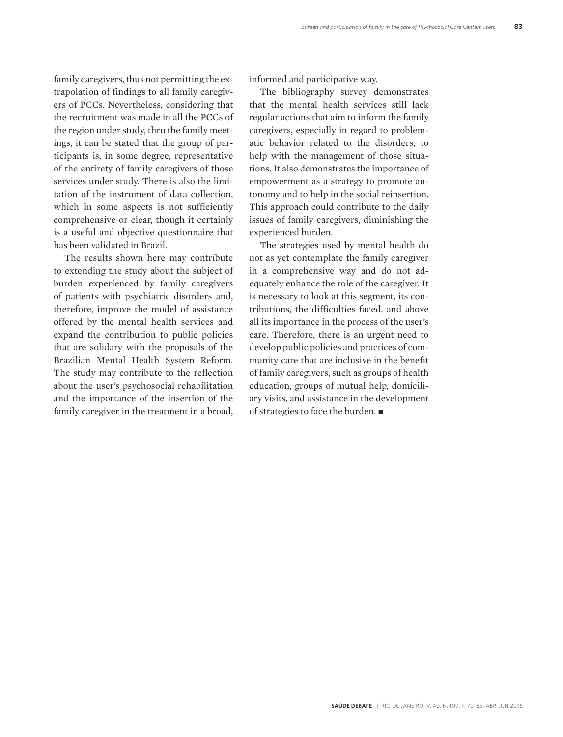family caregivers, thus not permitting the extrapolation of findings to all family caregivers of PCCs. Nevertheless, considering that the recruitment was made in all the PCCs of the region under study, thru the family meetings, it can be stated that the group of participants is, in some degree, representative of the entirety of family caregivers of those services under study. There is also the limitation of the instrument of data collection, which in some aspects is not sufficiently comprehensive or clear, though it certainly is a useful and objective questionnaire that has been validated in Brazil.

The results shown here may contribute to extending the study about the subject of burden experienced by family caregivers of patients with psychiatric disorders and, therefore, improve the model of assistance offered by the mental health services and expand the contribution to public policies that are solidary with the proposals of the Brazilian Mental Health System Reform. The study may contribute to the reflection about the user's psychosocial rehabilitation and the importance of the insertion of the family caregiver in the treatment in a broad,

informed and participative way.

The bibliography survey demonstrates that the mental health services still lack regular actions that aim to inform the family caregivers, especially in regard to problematic behavior related to the disorders, to help with the management of those situations. It also demonstrates the importance of empowerment as a strategy to promote autonomy and to help in the social reinsertion. This approach could contribute to the daily issues of family caregivers, diminishing the experienced burden.

The strategies used by mental health do not as yet contemplate the family caregiver in a comprehensive way and do not adequately enhance the role of the caregiver. It is necessary to look at this segment, its contributions, the difficulties faced, and above all its importance in the process of the user's care. Therefore, there is an urgent need to develop public policies and practices of community care that are inclusive in the benefit of family caregivers, such as groups of health education, groups of mutual help, domiciliary visits, and assistance in the development of strategies to face the burden.  $\blacksquare$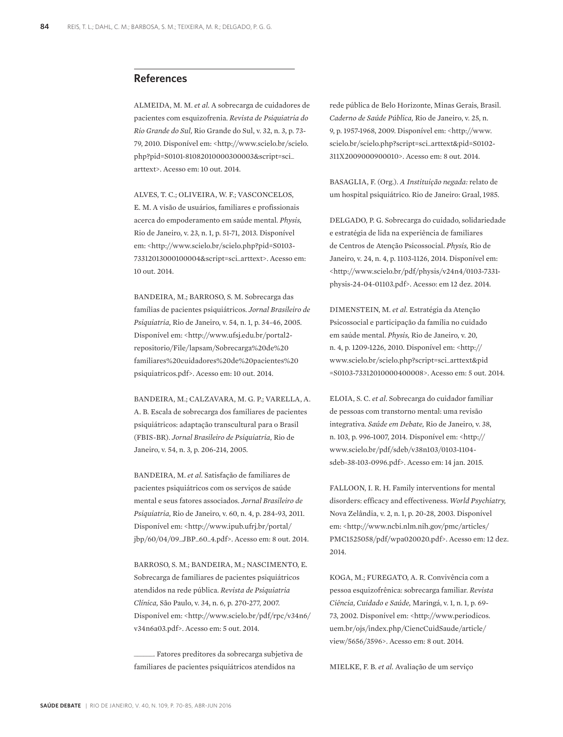#### **References**

ALMEIDA, M. M. *et al.* A sobrecarga de cuidadores de pacientes com esquizofrenia. *Revista de Psiquiatria do Rio Grande do Sul,* Rio Grande do Sul, v. 32, n. 3, p. 73- 79, 2010. Disponível em: <http://www.scielo.br/scielo. php?pid=S0101-81082010000300003&script=sci\_ arttext>. Acesso em: 10 out. 2014.

ALVES, T. C.; OLIVEIRA, W. F.; VASCONCELOS, E. M. A visão de usuários, familiares e profissionais acerca do empoderamento em saúde mental. *Physis,* Rio de Janeiro, v. 23, n. 1, p. 51-71, 2013. Disponível em: <http://www.scielo.br/scielo.php?pid=S0103- 73312013000100004&script=sci\_arttext>. Acesso em: 10 out. 2014.

BANDEIRA, M.; BARROSO, S. M. Sobrecarga das famílias de pacientes psiquiátricos. *Jornal Brasileiro de Psiquiatria,* Rio de Janeiro, v. 54, n. 1, p. 34-46, 2005. Disponível em: <http://www.ufsj.edu.br/portal2 repositorio/File/lapsam/Sobrecarga%20de%20 familiares%20cuidadores%20de%20pacientes%20 psiquiatricos.pdf>. Acesso em: 10 out. 2014.

BANDEIRA, M.; CALZAVARA, M. G. P.; VARELLA, A. A. B. Escala de sobrecarga dos familiares de pacientes psiquiátricos: adaptação transcultural para o Brasil (FBIS-BR). *Jornal Brasileiro de Psiquiatria,* Rio de Janeiro, v. 54, n. 3, p. 206-214, 2005.

BANDEIRA, M. *et al.* Satisfação de familiares de pacientes psiquiátricos com os serviços de saúde mental e seus fatores associados. *Jornal Brasileiro de Psiquiatria,* Rio de Janeiro, v. 60, n. 4, p. 284-93, 2011. Disponível em: <http://www.ipub.ufrj.br/portal/ jbp/60/04/09\_JBP\_60\_4.pdf>. Acesso em: 8 out. 2014.

BARROSO, S. M.; BANDEIRA, M.; NASCIMENTO, E. Sobrecarga de familiares de pacientes psiquiátricos atendidos na rede pública. *Revista de Psiquiatria Clínica,* São Paulo, v. 34, n. 6, p. 270-277, 2007. Disponível em: <http://www.scielo.br/pdf/rpc/v34n6/ v34n6a03.pdf>. Acesso em: 5 out. 2014.

Fatores preditores da sobrecarga subjetiva de familiares de pacientes psiquiátricos atendidos na

rede pública de Belo Horizonte, Minas Gerais, Brasil. *Caderno de Saúde Pública,* Rio de Janeiro, v. 25, n. 9, p. 1957-1968, 2009. Disponível em: <http://www. scielo.br/scielo.php?script=sci\_arttext&pid=S0102- 311X2009000900010>. Acesso em: 8 out. 2014.

BASAGLIA, F. (Org.). *A Instituição negada:* relato de um hospital psiquiátrico. Rio de Janeiro: Graal, 1985.

DELGADO, P. G. Sobrecarga do cuidado, solidariedade e estratégia de lida na experiência de familiares de Centros de Atenção Psicossocial. *Physis,* Rio de Janeiro, v. 24, n. 4, p. 1103-1126, 2014. Disponível em: <http://www.scielo.br/pdf/physis/v24n4/0103-7331 physis-24-04-01103.pdf>. Acesso: em 12 dez. 2014.

DIMENSTEIN, M. *et al.* Estratégia da Atenção Psicossocial e participação da família no cuidado em saúde mental. *Physis,* Rio de Janeiro, v. 20, n. 4, p. 1209-1226, 2010. Disponível em: <http:// www.scielo.br/scielo.php?script=sci\_arttext&pid =S0103-73312010000400008>. Acesso em: 5 out. 2014.

ELOIA, S. C. *et al.* Sobrecarga do cuidador familiar de pessoas com transtorno mental: uma revisão integrativa. *Saúde em Debate,* Rio de Janeiro, v. 38, n. 103, p. 996-1007, 2014. Disponível em: <http:// www.scielo.br/pdf/sdeb/v38n103/0103-1104 sdeb-38-103-0996.pdf>. Acesso em: 14 jan. 2015.

FALLOON, I. R. H. Family interventions for mental disorders: efficacy and effectiveness. *World Psychiatry,* Nova Zelândia, v. 2, n. 1, p. 20-28, 2003. Disponível em: <http://www.ncbi.nlm.nih.gov/pmc/articles/ PMC1525058/pdf/wpa020020.pdf>. Acesso em: 12 dez. 2014.

KOGA, M.; FUREGATO, A. R. Convivência com a pessoa esquizofrênica: sobrecarga familiar. *Revista Ciência, Cuidado e Saúde,* Maringá, v. 1, n. 1, p. 69- 73, 2002. Disponível em: <http://www.periodicos. uem.br/ojs/index.php/CiencCuidSaude/article/ view/5656/3596>. Acesso em: 8 out. 2014.

MIELKE, F. B. *et al.* Avaliação de um serviço